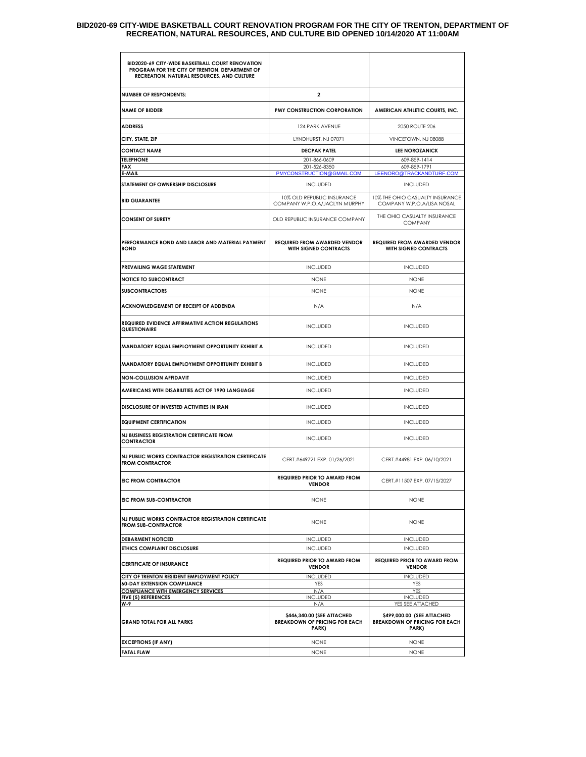#### **BID2020-69 CITY-WIDE BASKETBALL COURT RENOVATION PROGRAM FOR THE CITY OF TRENTON, DEPARTMENT OF RECREATION, NATURAL RESOURCES, AND CULTURE BID OPENED 10/14/2020 AT 11:00AM**

| BID2020-69 CITY-WIDE BASKETBALL COURT RENOVATION<br>PROGRAM FOR THE CITY OF TRENTON, DEPARTMENT OF<br>RECREATION, NATURAL RESOURCES, AND CULTURE |                                                                                    |                                                                                                 |
|--------------------------------------------------------------------------------------------------------------------------------------------------|------------------------------------------------------------------------------------|-------------------------------------------------------------------------------------------------|
| <b>NUMBER OF RESPONDENTS:</b>                                                                                                                    | $\mathbf{2}$                                                                       |                                                                                                 |
| <b>NAME OF BIDDER</b>                                                                                                                            | PMY CONSTRUCTION CORPORATION                                                       | AMERICAN ATHLETIC COURTS, INC.                                                                  |
| <b>ADDRESS</b>                                                                                                                                   | 124 PARK AVENUE                                                                    | 2050 ROUTE 206                                                                                  |
| CITY, STATE, ZIP                                                                                                                                 | LYNDHURST, NJ 07071                                                                | VINCETOWN, NJ 08088                                                                             |
| <b>CONTACT NAME</b>                                                                                                                              | <b>DECPAK PATEL</b>                                                                | <b>LEE NOROZANICK</b>                                                                           |
| <b>TELEPHONE</b>                                                                                                                                 | 201-866-0609                                                                       | 609-859-1414                                                                                    |
| FAX<br>E-MAIL                                                                                                                                    | 201-526-8350<br>PMYCONSTRUCTION@GMAIL.COM                                          | 609-859-1791<br>LEENORO@TRACKANDTURF.COM                                                        |
| STATEMENT OF OWNERSHIP DISCLOSURE                                                                                                                | <b>INCLUDED</b>                                                                    | <b>INCLUDED</b>                                                                                 |
| <b>BID GUARANTEE</b>                                                                                                                             | 10% OLD REPUBLIC INSURANCE<br>COMPANY W.P.O.A/JACLYN MURPHY                        | 10% THE OHIO CASUALTY INSURANCE<br>COMPANY W.P.O.A/LISA NOSAL                                   |
| <b>CONSENT OF SURETY</b>                                                                                                                         | OLD REPUBLIC INSURANCE COMPANY                                                     | THE OHIO CASUALTY INSURANCE<br><b>COMPANY</b>                                                   |
| PERFORMANCE BOND AND LABOR AND MATERIAL PAYMENT<br><b>BOND</b>                                                                                   | <b>REQUIRED FROM AWARDED VENDOR</b><br>WITH SIGNED CONTRACTS                       | <b>REQUIRED FROM AWARDED VENDOR</b><br>WITH SIGNED CONTRACTS                                    |
| PREVAILING WAGE STATEMENT                                                                                                                        | <b>INCLUDED</b>                                                                    | <b>INCLUDED</b>                                                                                 |
| <b>NOTICE TO SUBCONTRACT</b>                                                                                                                     | <b>NONE</b>                                                                        | <b>NONE</b>                                                                                     |
| <b>SUBCONTRACTORS</b>                                                                                                                            | <b>NONE</b>                                                                        | <b>NONE</b>                                                                                     |
| ACKNOWLEDGEMENT OF RECEIPT OF ADDENDA                                                                                                            | N/A                                                                                | N/A                                                                                             |
| <b>REQUIRED EVIDENCE AFFIRMATIVE ACTION REGULATIONS</b><br>QUESTIONAIRE                                                                          | <b>INCLUDED</b>                                                                    | <b>INCLUDED</b>                                                                                 |
| MANDATORY EQUAL EMPLOYMENT OPPORTUNITY EXHIBIT A                                                                                                 | <b>INCLUDED</b>                                                                    | <b>INCLUDED</b>                                                                                 |
| MANDATORY EQUAL EMPLOYMENT OPPORTUNITY EXHIBIT B                                                                                                 | <b>INCLUDED</b>                                                                    | <b>INCLUDED</b>                                                                                 |
| <b>NON-COLLUSION AFFIDAVIT</b>                                                                                                                   | <b>INCLUDED</b>                                                                    | <b>INCLUDED</b>                                                                                 |
| AMERICANS WITH DISABILITIES ACT OF 1990 LANGUAGE                                                                                                 | <b>INCLUDED</b>                                                                    | <b>INCLUDED</b>                                                                                 |
| DISCLOSURE OF INVESTED ACTIVITIES IN IRAN                                                                                                        | <b>INCLUDED</b>                                                                    | <b>INCLUDED</b>                                                                                 |
| <b>EQUIPMENT CERTIFICATION</b>                                                                                                                   | <b>INCLUDED</b>                                                                    | <b>INCLUDED</b>                                                                                 |
| NJ BUSINESS REGISTRATION CERTIFICATE FROM<br><b>CONTRACTOR</b>                                                                                   | <b>INCLUDED</b>                                                                    | <b>INCLUDED</b>                                                                                 |
| NJ PUBLIC WORKS CONTRACTOR REGISTRATION CERTIFICATE<br><b>FROM CONTRACTOR</b>                                                                    | CERT.#649721 EXP. 01/26/2021                                                       | CERT.#44981 EXP. 06/10/2021                                                                     |
| <b>EIC FROM CONTRACTOR</b>                                                                                                                       | <b>REQUIRED PRIOR TO AWARD FROM</b><br><b>VENDOR</b>                               | CERT.#11507 EXP. 07/15/2027                                                                     |
| EIC FROM SUB-CONTRACTOR                                                                                                                          | <b>NONE</b>                                                                        | <b>NONE</b>                                                                                     |
| NJ PUBLIC WORKS CONTRACTOR REGISTRATION CERTIFICATE<br><b>FROM SUB-CONTRACTOR</b>                                                                | <b>NONE</b>                                                                        | <b>NONE</b>                                                                                     |
| <b>DEBARMENT NOTICED</b>                                                                                                                         | <b>INCLUDED</b>                                                                    | <b>INCLUDED</b>                                                                                 |
| ETHICS COMPLAINT DISCLOSURE                                                                                                                      | <b>INCLUDED</b>                                                                    | <b>INCLUDED</b>                                                                                 |
| <b>CERTIFICATE OF INSURANCE</b>                                                                                                                  | <b>REQUIRED PRIOR TO AWARD FROM</b><br><b>VENDOR</b>                               | <b>REQUIRED PRIOR TO AWARD FROM</b><br><b>VENDOR</b>                                            |
| CITY OF TRENTON RESIDENT EMPLOYMENT POLICY                                                                                                       | <b>INCLUDED</b>                                                                    | <b>INCLUDED</b>                                                                                 |
| <b>60-DAY EXTENSION COMPLIANCE</b><br><b>COMPLIANCE WITH EMERGENCY SERVICES</b>                                                                  | <b>YES</b><br>N/A                                                                  | <b>YES</b><br><b>YES</b>                                                                        |
| <b>FIVE (5) REFERENCES</b>                                                                                                                       | <b>INCLUDED</b>                                                                    | <b>INCLUDED</b>                                                                                 |
| W-9<br><b>GRAND TOTAL FOR ALL PARKS</b>                                                                                                          | N/A<br>\$446,340.00 (SEE ATTACHED<br><b>BREAKDOWN OF PRICING FOR EACH</b><br>PARK) | YES SEE ATTACHED<br>\$499,000.00 (SEE ATTACHED<br><b>BREAKDOWN OF PRICING FOR EACH</b><br>PARK) |
| <b>EXCEPTIONS (IF ANY)</b>                                                                                                                       | <b>NONE</b>                                                                        | <b>NONE</b>                                                                                     |
| <b>FATAL FLAW</b>                                                                                                                                | <b>NONE</b>                                                                        | <b>NONE</b>                                                                                     |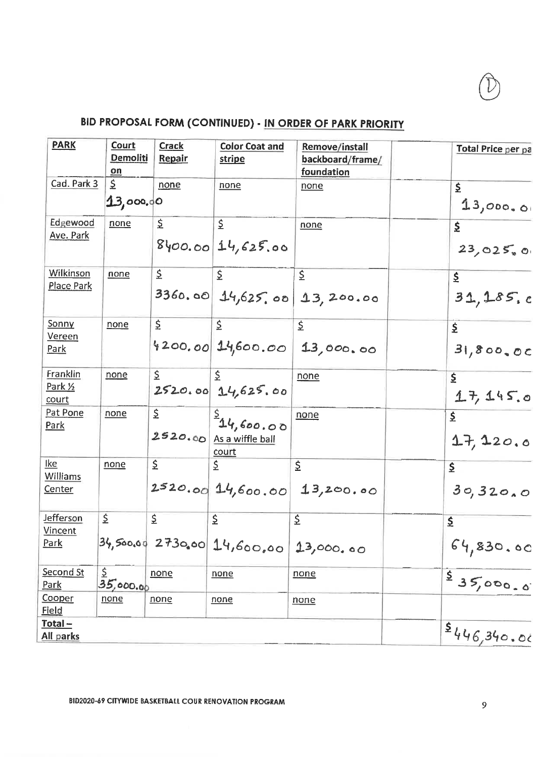# BID PROPOSAL FORM (CONTINUED) - IN ORDER OF PARK PRIORITY

| <b>PARK</b>                                | Court<br>Demoliti<br>on | <b>Crack</b><br>Repair | <b>Color Coat and</b><br>stripe                  | Remove/install<br>backboard/frame/<br>foundation | <b>Total Price per pa</b>  |
|--------------------------------------------|-------------------------|------------------------|--------------------------------------------------|--------------------------------------------------|----------------------------|
| Cad. Park 3                                | \$<br>13,000,00         | none                   | none                                             | none                                             | $\mathsf{S}$<br>13,000,00  |
| Edgewood<br>Ave. Park                      | none                    | \$                     | \$<br>$8\,00.0014,625.00$                        | none                                             | \$<br>23,025,0             |
| Wilkinson<br><b>Place Park</b>             | none                    | $\mathsf{E}$           | \$                                               | \$<br>$3360.00$ 14,625,00 13,200.00              | $\mathsf{S}$<br>31, 185, c |
| Sonny<br><u>Vereen</u><br>Park             | none                    | \$                     | $\overline{S}$                                   | $\zeta$<br>$4200.00$ 14,600.00 13,000.00         | £<br>31,800,00             |
| Franklin<br>Park 1/2<br>court              | none                    | \$                     | $(\hat{\mathbf{S}})$<br>$2520.00$ $14,625.00$    | none                                             | \$<br>17,145.0             |
| Pat Pone<br><u>Park</u>                    | none                    | \$.                    | 34,600.00<br>$2520.00$ As a wiffle ball<br>court | none                                             | \$<br>17, 120.0            |
| <u>Ike</u><br><b>Williams</b><br>Center    | none                    | \$                     | \$                                               | \$<br>2520.00   14,600.00   13,200.00            | \$<br>30,320,0             |
| <b>Jefferson</b><br><b>Vincent</b><br>Park | $\mathsf{S}$            | \$                     | \$<br>$34,50000$ 2730.00 14,600,00               | \$<br>13,000.00                                  | \$<br>64,830.00            |
| Second St<br>Park                          | \$<br>35,000.00         | none                   | none                                             | none                                             | 35,000.0                   |
| Cooper<br><b>Field</b>                     | none                    | none                   | none                                             | none                                             |                            |
| Total-<br>All parks                        |                         |                        |                                                  |                                                  | 5446,340.06                |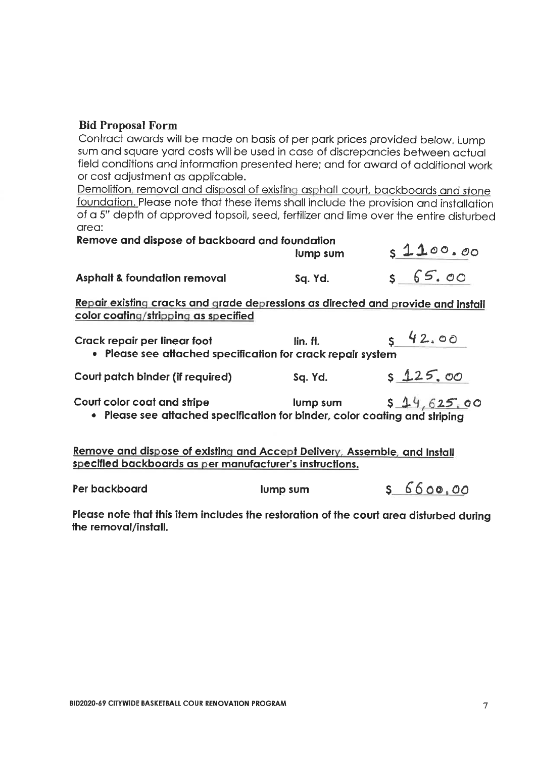#### **Bid Proposal Form**

Contract awards will be made on basis of per park prices provided below. Lump sum and square yard costs will be used in case of discrepancies between actual field conditions and information presented here; and for award of additional work or cost adjustment as applicable.

Demolition, removal and disposal of existing asphalt court, backboards and stone foundation. Please note that these items shall include the provision and installation of a 5" depth of approved topsoil, seed, fertilizer and lime over the entire disturbed area:

| Remove and dispose of backboard and foundation |          |             |
|------------------------------------------------|----------|-------------|
|                                                | lump sum | s1100.00    |
| <b>Asphalt &amp; foundation removal</b>        | Sq. Yd.  | $5 - 65.00$ |

Repair existing cracks and grade depressions as directed and provide and install color coating/stripping as specified

| Crack repair per linear foot                                | lin. ft. | 542.00  |
|-------------------------------------------------------------|----------|---------|
| • Please see attached specification for crack repair system |          |         |
| Court patch binder (if required)                            | Sq. Yd.  | 5125.00 |

**Court color coat and stripe** lump sum  $$14,625,00$ • Please see attached specification for binder, color coating and striping

Remove and dispose of existing and Accept Delivery, Assemble, and Install specified backboards as per manufacturer's instructions.

| Per backboard | lump sum | 5660000 |
|---------------|----------|---------|
|---------------|----------|---------|

Please note that this item includes the restoration of the court area disturbed during the removal/install.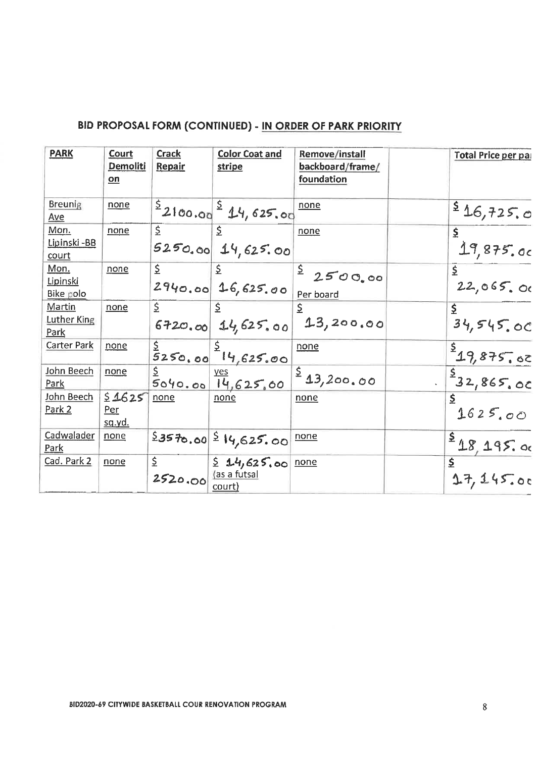### BID PROPOSAL FORM (CONTINUED) - IN ORDER OF PARK PRIORITY

| <b>PARK</b>                    | <b>Court</b><br><b>Demoliti</b><br>on | <b>Crack</b><br>Repair | <b>Color Coat and</b><br>stripe                               | Remove/install<br>backboard/frame/<br>foundation | Total Price per par                      |
|--------------------------------|---------------------------------------|------------------------|---------------------------------------------------------------|--------------------------------------------------|------------------------------------------|
| <b>Breunig</b><br>Ave          | none                                  |                        | $\frac{5}{2}$ 2100.00 $\frac{5}{4}$ 14,625.00                 | none                                             | 546,725,0                                |
| Mon.<br>Lipinski - BB<br>court | none                                  | \$                     | $\vert \xi \vert$<br>$5250.00$ 14, 625.00                     | none                                             | \$<br>19,875.00                          |
| Mon.<br>Lipinski<br>Bike polo  | none                                  | \$                     | $\sqrt{2}$<br>$2940.00   16,625.00  $ Per board               |                                                  | \$<br>22,065.00                          |
| Martin<br>Luther King<br>Park  | none                                  | \$                     |                                                               | $6720.00$ 14,625.00 13,200.00                    | \$<br>34,545.00                          |
| <b>Carter Park</b>             | <u>none</u>                           |                        | $rac{5}{5}$ 250.00 <sup>2</sup> $14,625.00$                   | none                                             |                                          |
| John Beech<br>Park             | none                                  |                        |                                                               | $rac{5040.00}{14,625,00}$ \$ 13,200.00           | $\frac{\frac{5}{2}19,875.00}{32,865.00}$ |
| John Beech<br>Park 2           | 51625<br>Per<br><u>sq.yd.</u>         | none                   | none                                                          | none                                             | $\overline{5}$<br>1625.00                |
| Cadwalader<br>Park             | none                                  |                        | $23570.00$ $514,625.00$                                       | none                                             | 518,195.00                               |
| Cad. Park 2                    | none                                  | \$.<br>2520.00         | $\frac{1}{2}$ 14,625,00 none<br><u>(as a futsal</u><br>court) |                                                  | $\overline{\mathbf{5}}$<br>17,145.00     |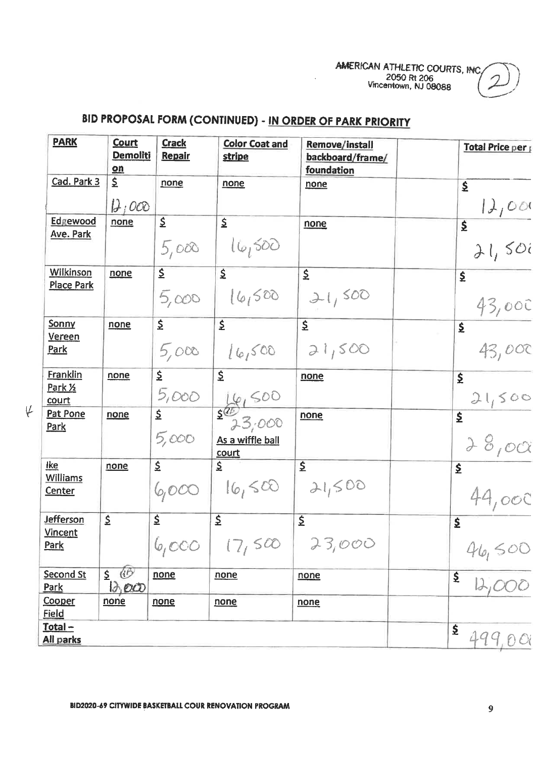AMERICAN ATHLETIC COURTS, INC. 2050 Rt 206

# BID PROPOSAL FORM (CONTINUED) - IN ORDER OF PARK PRIORITY

| <b>PARK</b>                                    | <b>Court</b><br><b>Demoliti</b><br>$on$                                | <b>Crack</b><br>Repair           | <b>Color Coat and</b><br><u>stripe</u>                                  | <b>Remove/install</b><br>backboard/frame/<br>foundation | Total Price per                    |
|------------------------------------------------|------------------------------------------------------------------------|----------------------------------|-------------------------------------------------------------------------|---------------------------------------------------------|------------------------------------|
| Cad. Park 3                                    | \$<br>$D_1OOO$                                                         | none                             | none                                                                    | none                                                    | $\mathbf{\underline{S}}$<br>12,000 |
| Edgewood<br><b>Ave. Park</b>                   | none                                                                   | $\overline{\mathsf{S}}$<br>5,000 | $\mathbf{\Sigma}$<br>16,500                                             | none                                                    | $\overline{\mathbf{S}}$<br>21,500  |
| Wilkinson<br><b>Place Park</b>                 | none                                                                   | $\overline{\mathsf{z}}$          | $\overline{\underline{\underline{\varsigma}}}$<br>$5,000$ $16,500$      | $\overline{\mathsf{S}}$<br>21,500                       | $\mathbf{\underline{S}}$<br>43,000 |
| <b>Sonny</b><br>Vereen<br><b>Park</b>          | none                                                                   | $\mathsf{\Sigma}^-$              | $\overline{\mathsf{z}}$<br>$5,000$ $[6,500]$                            | $\mathsf{S}$<br>21,500                                  | \$<br>43,000                       |
| Franklin<br>Park 1/2<br>court                  | none                                                                   | $\overline{\mathsf{S}}$          | $\hat{\mathbf{z}}$                                                      | none                                                    | $\frac{1}{2}$<br>21,500            |
| Pat Pone<br>Park                               | none                                                                   | 5,000                            | $\frac{5,000}{1}$ $\frac{16,500}{2,3,000}$<br>As a wiffle ball<br>court | none                                                    | $\overline{\mathbf{S}}$<br>28,000  |
| <u>Ike</u><br><b>Williams</b><br><u>Center</u> | none                                                                   | $\dot{\Sigma}$                   | $\mathsf{\Sigma}$<br>6000   16,500                                      | $\mathbf{\Sigma}$<br>21,500                             | $\mathbf{\Sigma}$<br>44,000        |
| <b>Jefferson</b><br><b>Vincent</b><br>Park     | \$                                                                     | $\mathbf{\Sigma}$<br>6,000       | $\mathbf{\underline{5}}$<br>(7,500)                                     | $\mathsf{\underline{S}}$<br>23,000                      | \$<br>$\frac{46,500}{12,000}$      |
| Second St<br><b>Park</b>                       | $\circledcirc$<br>$\mathsf{S}$<br>$\partial_1 \mathcal{O} \mathcal{O}$ | none                             | none                                                                    | none                                                    | \$                                 |
| Cooper<br><u>Field</u>                         | none                                                                   | none                             | none                                                                    | none                                                    |                                    |
| <u>Total –</u><br>All parks                    |                                                                        |                                  |                                                                         |                                                         | \$<br>499,00                       |

**BID2020-69 CITYWIDE BASKETBALL COUR RENOVATION PROGRAM** 

 $\psi$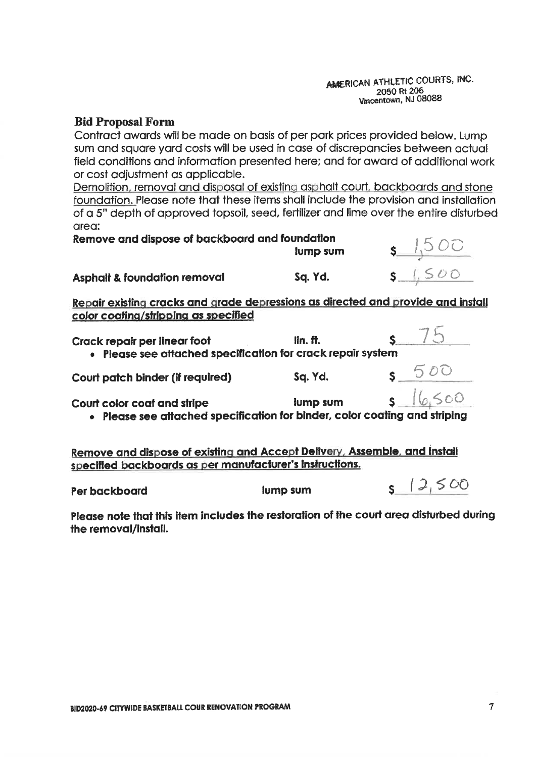#### AMERICAN ATHLETIC COURTS, INC. 2050 Rt 206 Vincentown, NJ 08088

#### **Bid Proposal Form**

Contract awards will be made on basis of per park prices provided below. Lump sum and square yard costs will be used in case of discrepancies between actual field conditions and information presented here; and for award of additional work or cost adjustment as applicable.

Demolition, removal and disposal of existing asphalt court, backboards and stone foundation. Please note that these items shall include the provision and installation of a 5" depth of approved topsoil, seed, fertilizer and lime over the entire disturbed area:

| Remove and dispose of backboard and foundation |          |           |
|------------------------------------------------|----------|-----------|
|                                                | lump sum | .1500     |
| <b>Asphalt &amp; foundation removal</b>        | Sa. Yd.  | $s$ 1.500 |

Repair existing cracks and grade depressions as directed and provide and install color coating/stripping as specified

| Crack repair per linear foot<br>· Please see attached specification for crack repair system                                           | $\mathop{\text{lin.}}\nolimits$ ff. |              |
|---------------------------------------------------------------------------------------------------------------------------------------|-------------------------------------|--------------|
| Court patch binder (if required)                                                                                                      | Sq. Yd.                             |              |
| Court color coat and stripe<br>· Please see attached specification for binder, color coating and striping                             | lump sum                            | $5 - 16,500$ |
| Remove and dispose of existing and Accept Delivery, Assemble, and Install<br>specified backboards as per manufacturer's instructions. |                                     |              |
| Per backboard                                                                                                                         | lump sum                            |              |

Please note that this item includes the restoration of the court area disturbed during the removal/install.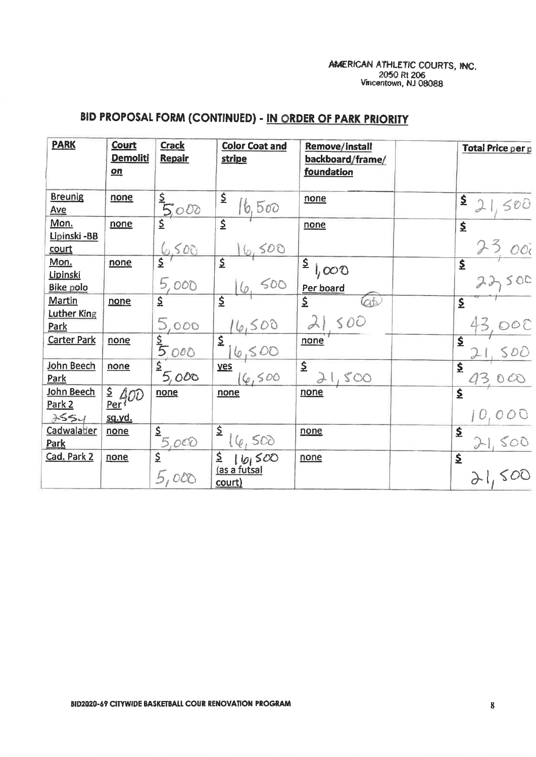### AMERICAN ATHLETIC COURTS, INC. 2050 Rt 206<br>Vincentown, NJ 08088

## BID PROPOSAL FORM (CONTINUED) - IN ORDER OF PARK PRIORITY

| <b>PARK</b>                                 | <b>Court</b><br><b>Demoliti</b><br>$on$     | <b>Crack</b><br>Repair | <b>Color Coat and</b><br><b>stripe</b>                                                                                                                                                                                                                                                                                                      | <b>Remove/install</b><br>backboard/frame/<br><u>foundation</u> | Total Price per p                 |
|---------------------------------------------|---------------------------------------------|------------------------|---------------------------------------------------------------------------------------------------------------------------------------------------------------------------------------------------------------------------------------------------------------------------------------------------------------------------------------------|----------------------------------------------------------------|-----------------------------------|
| <b>Breunig</b><br>Ave                       | none                                        | $\frac{5}{5000}$       | $\mathsf{\Sigma}$<br>16,500                                                                                                                                                                                                                                                                                                                 | none                                                           | \$<br>500                         |
| Mon.<br>Lipinski -BB<br>court               | none                                        | 6,500                  | $\hat{\mathbf{z}}$<br>500                                                                                                                                                                                                                                                                                                                   | none                                                           | $\overline{\mathbf{5}}$           |
| Mon.<br><u>Lipinski</u><br><b>Bike polo</b> | none                                        | 5,000                  | \$<br>500                                                                                                                                                                                                                                                                                                                                   | $\sqrt{2}$ ,<br>1,000<br>Per board                             | $\hat{\mathbf{z}}$<br>22500       |
| <b>Martin</b><br>Luther King<br>Park        | none                                        | 5,000                  | $\overline{\underline{\mathsf{S}}}$<br>6,500                                                                                                                                                                                                                                                                                                | $\overline{\mathsf{S}}$<br>21500                               | $\hat{\mathbf{z}}$                |
| <b>Carter Park</b>                          | none                                        | $\frac{5}{5000}$       | $\overline{\mathsf{z}}$<br>6500                                                                                                                                                                                                                                                                                                             | none                                                           | $\overline{\mathbf{S}}$<br>500    |
| John Beech<br>Park                          | none                                        | 5,000                  | yes<br>6,500                                                                                                                                                                                                                                                                                                                                | $\overline{\mathsf{S}}$<br>1,500                               | $\overline{\mathbf{z}}$<br>430 CC |
| John Beech<br>Park 2<br>3554                | $\frac{2}{\text{Per}}$ 400<br><u>sq.yd.</u> | none                   | none                                                                                                                                                                                                                                                                                                                                        | none                                                           | $\overline{\mathbf{S}}$           |
| Cadwalader<br>Park                          | none                                        | $\frac{2}{5,000}$      | $\mathsf{\Sigma}$                                                                                                                                                                                                                                                                                                                           | none                                                           | $\mathbf{\underline{S}}$<br>500   |
| Cad. Park 2                                 | none                                        | 5,000                  | $\frac{2}{\frac{1}{2} \left( \frac{6}{2} \right)^2}$<br>$\frac{1}{2}$ $\frac{1}{2}$ $\frac{1}{2}$ $\frac{1}{2}$ $\frac{1}{2}$ $\frac{1}{2}$ $\frac{1}{2}$ $\frac{1}{2}$ $\frac{1}{2}$ $\frac{1}{2}$ $\frac{1}{2}$ $\frac{1}{2}$ $\frac{1}{2}$ $\frac{1}{2}$ $\frac{1}{2}$ $\frac{1}{2}$ $\frac{1}{2}$ $\frac{1}{2}$ $\frac{1}{2}$<br>court) | none                                                           | $\overline{\mathbf{S}}$<br>21,500 |